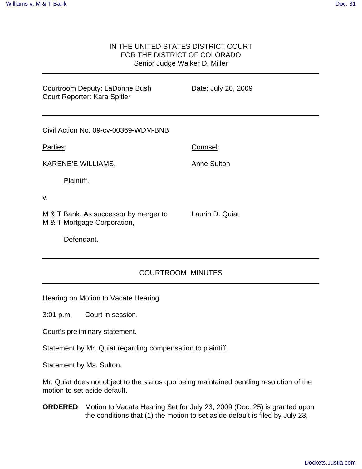## IN THE UNITED STATES DISTRICT COURT FOR THE DISTRICT OF COLORADO Senior Judge Walker D. Miller

| Date: July 20, 2009 |
|---------------------|
|                     |
| Counsel:            |
| <b>Anne Sulton</b>  |
|                     |
|                     |
| Laurin D. Quiat     |
|                     |
|                     |

## COURTROOM MINUTES

Hearing on Motion to Vacate Hearing

3:01 p.m. Court in session.

Court's preliminary statement.

Statement by Mr. Quiat regarding compensation to plaintiff.

Statement by Ms. Sulton.

Mr. Quiat does not object to the status quo being maintained pending resolution of the motion to set aside default.

**ORDERED**: Motion to Vacate Hearing Set for July 23, 2009 (Doc. 25) is granted upon the conditions that (1) the motion to set aside default is filed by July 23,